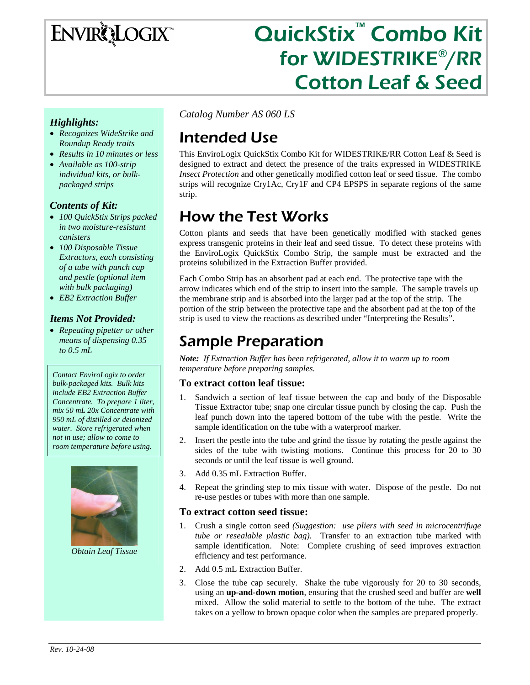# ENVIRQLOGIX

# QuickStix™ Combo Kit for WIDESTRIKE®/RR Cotton Leaf & Seed

#### *Highlights:*

- *Recognizes WideStrike and Roundup Ready traits*
- *Results in 10 minutes or less*
- *Available as 100-strip individual kits, or bulkpackaged strips*

#### *Contents of Kit:*

- *100 QuickStix Strips packed in two moisture-resistant canisters*
- *100 Disposable Tissue Extractors, each consisting of a tube with punch cap and pestle (optional item with bulk packaging)*
- *EB2 Extraction Buffer*

#### *Items Not Provided:*

• *Repeating pipetter or other means of dispensing 0.35 to 0.5 mL* 

*Contact EnviroLogix to order bulk-packaged kits. Bulk kits include EB2 Extraction Buffer Concentrate. To prepare 1 liter, mix 50 mL 20x Concentrate with 950 mL of distilled or deionized water. Store refrigerated when not in use; allow to come to room temperature before using.* 



*Obtain Leaf Tissue* 

*Catalog Number AS 060 LS* 

# Intended Use

This EnviroLogix QuickStix Combo Kit for WIDESTRIKE/RR Cotton Leaf & Seed is designed to extract and detect the presence of the traits expressed in WIDESTRIKE *Insect Protection* and other genetically modified cotton leaf or seed tissue. The combo strips will recognize Cry1Ac, Cry1F and CP4 EPSPS in separate regions of the same strip.

# How the Test Works

Cotton plants and seeds that have been genetically modified with stacked genes express transgenic proteins in their leaf and seed tissue. To detect these proteins with the EnviroLogix QuickStix Combo Strip, the sample must be extracted and the proteins solubilized in the Extraction Buffer provided.

Each Combo Strip has an absorbent pad at each end. The protective tape with the arrow indicates which end of the strip to insert into the sample. The sample travels up the membrane strip and is absorbed into the larger pad at the top of the strip. The portion of the strip between the protective tape and the absorbent pad at the top of the strip is used to view the reactions as described under "Interpreting the Results".

# Sample Preparation

*Note: If Extraction Buffer has been refrigerated, allow it to warm up to room temperature before preparing samples.* 

#### **To extract cotton leaf tissue:**

- 1. Sandwich a section of leaf tissue between the cap and body of the Disposable Tissue Extractor tube; snap one circular tissue punch by closing the cap. Push the leaf punch down into the tapered bottom of the tube with the pestle. Write the sample identification on the tube with a waterproof marker.
- 2. Insert the pestle into the tube and grind the tissue by rotating the pestle against the sides of the tube with twisting motions. Continue this process for 20 to 30 seconds or until the leaf tissue is well ground.
- 3. Add 0.35 mL Extraction Buffer.
- 4. Repeat the grinding step to mix tissue with water. Dispose of the pestle. Do not re-use pestles or tubes with more than one sample.

#### **To extract cotton seed tissue:**

- 1. Crush a single cotton seed *(Suggestion: use pliers with seed in microcentrifuge tube or resealable plastic bag).* Transfer to an extraction tube marked with sample identification. Note: Complete crushing of seed improves extraction efficiency and test performance.
- 2. Add 0.5 mL Extraction Buffer.
- 3. Close the tube cap securely. Shake the tube vigorously for 20 to 30 seconds, using an **up-and-down motion**, ensuring that the crushed seed and buffer are **well** mixed. Allow the solid material to settle to the bottom of the tube. The extract takes on a yellow to brown opaque color when the samples are prepared properly.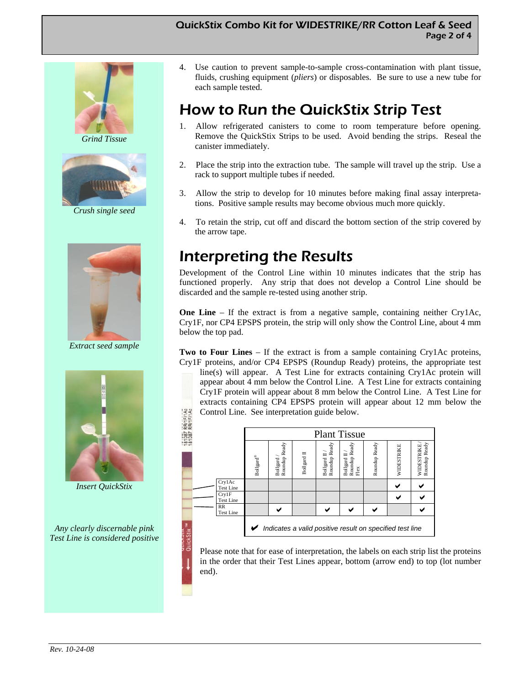#### QuickStix Combo Kit for WIDESTRIKE/RR Cotton Leaf & Seed Page 2 of 4



*Grind Tissue* 



*Crush single seed* 



*Extract seed sample* 



*Insert QuickStix* 

*Any clearly discernable pink Test Line is considered positive*  4. Use caution to prevent sample-to-sample cross-contamination with plant tissue, fluids, crushing equipment (*pliers*) or disposables. Be sure to use a new tube for each sample tested.

# How to Run the QuickStix Strip Test

- 1. Allow refrigerated canisters to come to room temperature before opening. Remove the QuickStix Strips to be used. Avoid bending the strips. Reseal the canister immediately.
- 2. Place the strip into the extraction tube. The sample will travel up the strip. Use a rack to support multiple tubes if needed.
- 3. Allow the strip to develop for 10 minutes before making final assay interpretations. Positive sample results may become obvious much more quickly.
- 4. To retain the strip, cut off and discard the bottom section of the strip covered by the arrow tape.

# Interpreting the Results

Development of the Control Line within 10 minutes indicates that the strip has functioned properly. Any strip that does not develop a Control Line should be discarded and the sample re-tested using another strip.

**One Line** – If the extract is from a negative sample, containing neither Cry1Ac, Cry1F, nor CP4 EPSPS protein, the strip will only show the Control Line, about 4 mm below the top pad.

**Two to Four Lines** – If the extract is from a sample containing Cry1Ac proteins, Cry1F proteins, and/or CP4 EPSPS (Roundup Ready) proteins, the appropriate test

line(s) will appear. A Test Line for extracts containing Cry1Ac protein will appear about 4 mm below the Control Line. A Test Line for extracts containing Cry1F protein will appear about 8 mm below the Control Line. A Test Line for extracts containing CP4 EPSPS protein will appear about 12 mm below the Control Line. See interpretation guide below.

| FI1AC<br>FI1AC<br>RRIT  | Control Line. See interpretation guide below. |                                         |                           |             |                                     |                                                          |               |            |                             |
|-------------------------|-----------------------------------------------|-----------------------------------------|---------------------------|-------------|-------------------------------------|----------------------------------------------------------|---------------|------------|-----------------------------|
| 787                     | <b>Plant Tissue</b>                           |                                         |                           |             |                                     |                                                          |               |            |                             |
| $-7$<br>00 <sub>0</sub> |                                               | $\operatorname{Bollgard}^{\circledast}$ | Roundup Ready<br>Bollgard | Bollgard II | Roundup Ready<br><b>Bollgard II</b> | Roundup Ready<br>Bollgard II<br>Flex                     | Roundup Ready | WIDESTRIKE | Roundup Ready<br>WIDESTRIKE |
|                         | Cry1Ac<br><b>Test Line</b>                    |                                         |                           |             |                                     |                                                          |               |            |                             |
|                         | Crv1F<br><b>Test Line</b>                     |                                         |                           |             |                                     |                                                          |               |            |                             |
|                         | RR<br><b>Test Line</b>                        |                                         |                           |             |                                     |                                                          |               |            |                             |
|                         |                                               |                                         |                           |             |                                     | Indicates a valid positive result on specified test line |               |            |                             |

Please note that for ease of interpretation, the labels on each strip list the proteins in the order that their Test Lines appear, bottom (arrow end) to top (lot number end).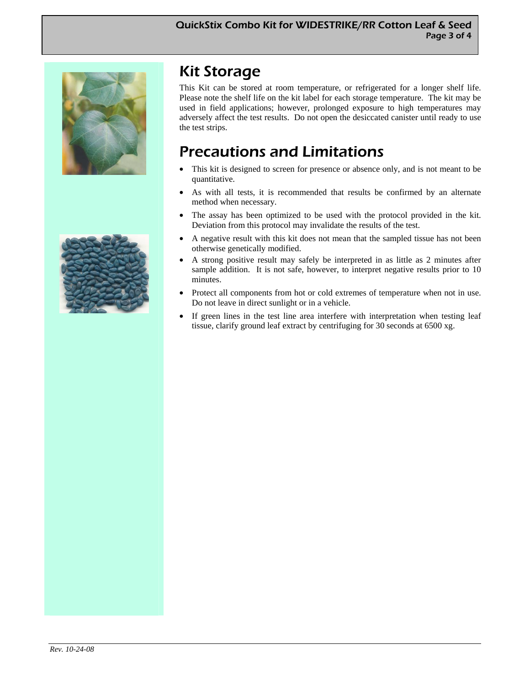



# Kit Storage

This Kit can be stored at room temperature, or refrigerated for a longer shelf life. Please note the shelf life on the kit label for each storage temperature. The kit may be used in field applications; however, prolonged exposure to high temperatures may adversely affect the test results. Do not open the desiccated canister until ready to use the test strips.

# Precautions and Limitations

- This kit is designed to screen for presence or absence only, and is not meant to be quantitative.
- As with all tests, it is recommended that results be confirmed by an alternate method when necessary.
- The assay has been optimized to be used with the protocol provided in the kit. Deviation from this protocol may invalidate the results of the test.
- A negative result with this kit does not mean that the sampled tissue has not been otherwise genetically modified.
- A strong positive result may safely be interpreted in as little as 2 minutes after sample addition. It is not safe, however, to interpret negative results prior to 10 minutes.
- Protect all components from hot or cold extremes of temperature when not in use. Do not leave in direct sunlight or in a vehicle.
- If green lines in the test line area interfere with interpretation when testing leaf tissue, clarify ground leaf extract by centrifuging for 30 seconds at 6500 xg.